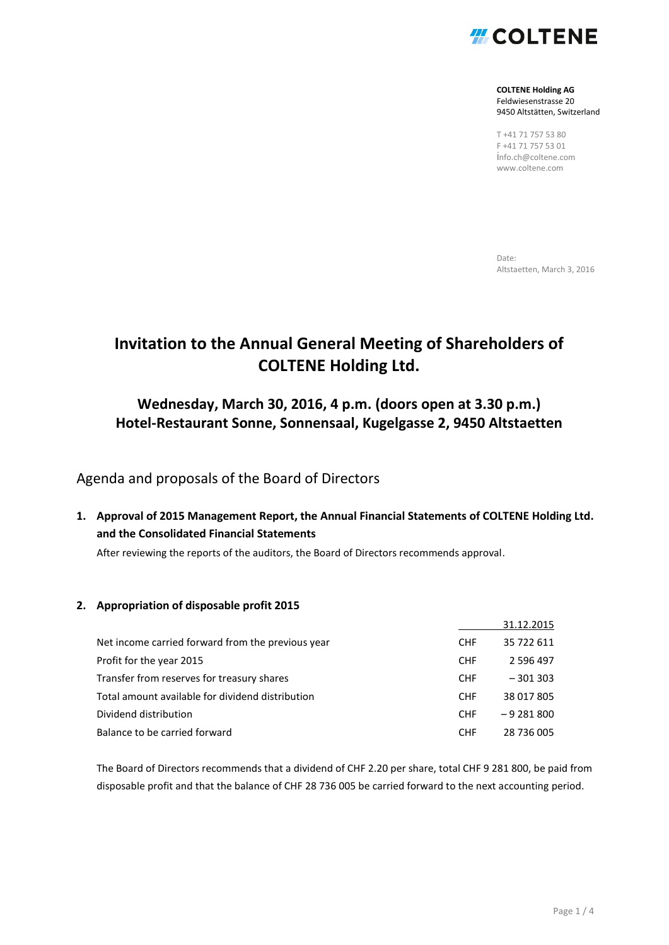

**COLTENE Holding AG** Feldwiesenstrasse 20 9450 Altstätten, Switzerland

T +41 71 757 53 80 F +41 71 757 53 01 i[nfo.ch@coltene.com](mailto:info.ch@coltene.com) www.coltene.com

Date: Altstaetten, March 3, 2016

## **Invitation to the Annual General Meeting of Shareholders of COLTENE Holding Ltd.**

## **Wednesday, March 30, 2016, 4 p.m. (doors open at 3.30 p.m.) Hotel-Restaurant Sonne, Sonnensaal, Kugelgasse 2, 9450 Altstaetten**

### Agenda and proposals of the Board of Directors

**1. Approval of 2015 Management Report, the Annual Financial Statements of COLTENE Holding Ltd. and the Consolidated Financial Statements**

After reviewing the reports of the auditors, the Board of Directors recommends approval.

#### **2. Appropriation of disposable profit 2015**

|                                                   |            | 31.12.2015 |
|---------------------------------------------------|------------|------------|
| Net income carried forward from the previous year | <b>CHF</b> | 35 722 611 |
| Profit for the year 2015                          | <b>CHF</b> | 2 596 497  |
| Transfer from reserves for treasury shares        | <b>CHF</b> | $-301303$  |
| Total amount available for dividend distribution  | <b>CHF</b> | 38 017 805 |
| Dividend distribution                             | <b>CHF</b> | $-9281800$ |
| Balance to be carried forward                     | <b>CHF</b> | 28 736 005 |

The Board of Directors recommends that a dividend of CHF 2.20 per share, total CHF 9 281 800, be paid from disposable profit and that the balance of CHF 28 736 005 be carried forward to the next accounting period.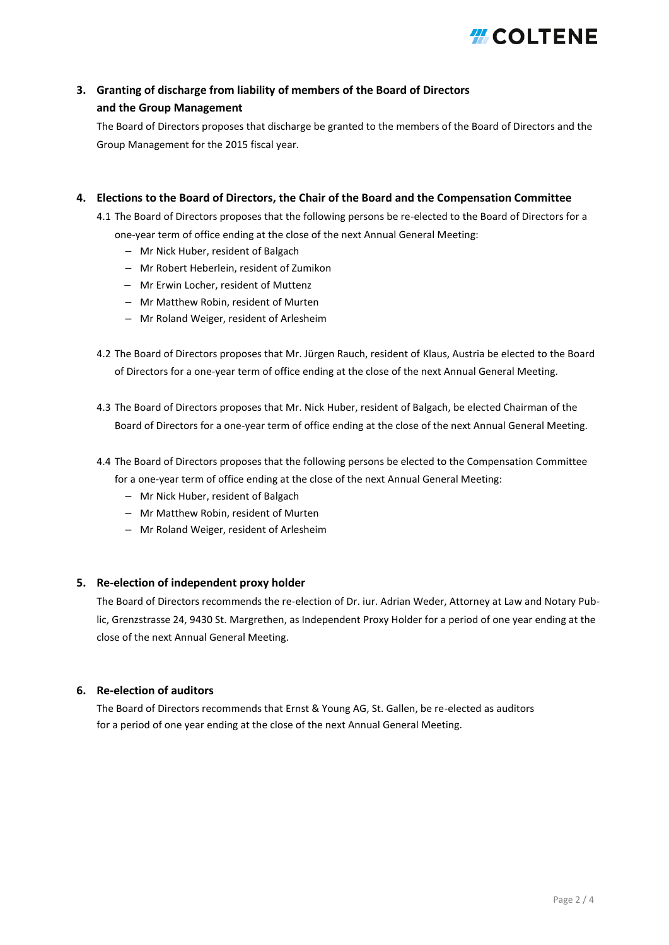## **HLCOLTENE**

### **3. Granting of discharge from liability of members of the Board of Directors and the Group Management**

The Board of Directors proposes that discharge be granted to the members of the Board of Directors and the Group Management for the 2015 fiscal year.

#### **4. Elections to the Board of Directors, the Chair of the Board and the Compensation Committee**

- 4.1 The Board of Directors proposes that the following persons be re-elected to the Board of Directors for a
	- one-year term of office ending at the close of the next Annual General Meeting:
		- Mr Nick Huber, resident of Balgach
		- Mr Robert Heberlein, resident of Zumikon
		- Mr Erwin Locher, resident of Muttenz
		- Mr Matthew Robin, resident of Murten
		- Mr Roland Weiger, resident of Arlesheim
- 4.2 The Board of Directors proposes that Mr. Jürgen Rauch, resident of Klaus, Austria be elected to the Board of Directors for a one-year term of office ending at the close of the next Annual General Meeting.
- 4.3 The Board of Directors proposes that Mr. Nick Huber, resident of Balgach, be elected Chairman of the Board of Directors for a one-year term of office ending at the close of the next Annual General Meeting.
- 4.4 The Board of Directors proposes that the following persons be elected to the Compensation Committee for a one-year term of office ending at the close of the next Annual General Meeting:
	- Mr Nick Huber, resident of Balgach
	- Mr Matthew Robin, resident of Murten
	- Mr Roland Weiger, resident of Arlesheim

#### **5. Re-election of independent proxy holder**

The Board of Directors recommends the re-election of Dr. iur. Adrian Weder, Attorney at Law and Notary Public, Grenzstrasse 24, 9430 St. Margrethen, as Independent Proxy Holder for a period of one year ending at the close of the next Annual General Meeting.

#### **6. Re-election of auditors**

The Board of Directors recommends that Ernst & Young AG, St. Gallen, be re-elected as auditors for a period of one year ending at the close of the next Annual General Meeting.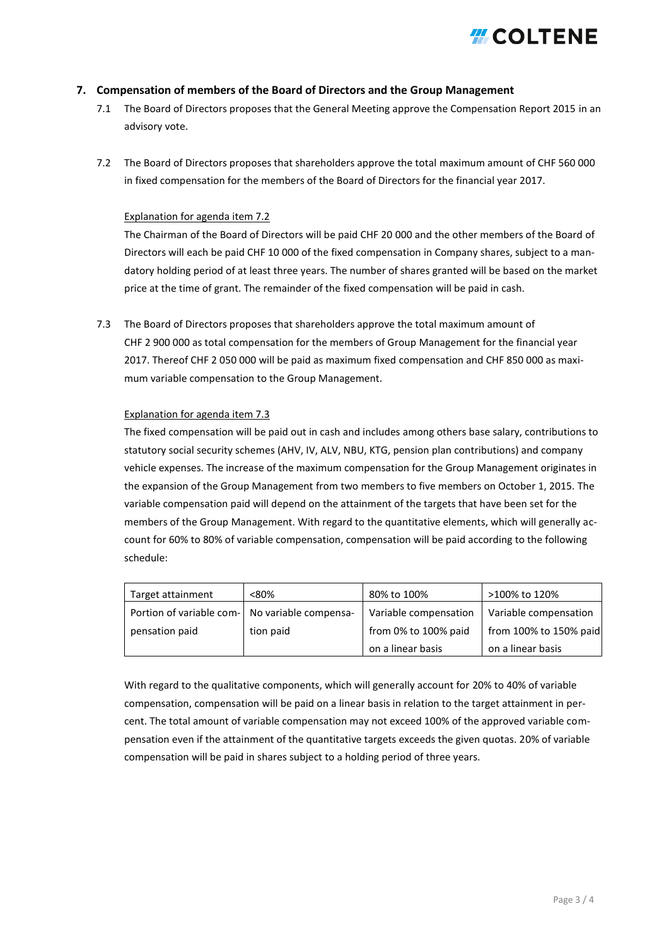

#### **7. Compensation of members of the Board of Directors and the Group Management**

- 7.1 The Board of Directors proposes that the General Meeting approve the Compensation Report 2015 in an advisory vote.
- 7.2 The Board of Directors proposes that shareholders approve the total maximum amount of CHF 560 000 in fixed compensation for the members of the Board of Directors for the financial year 2017.

#### Explanation for agenda item 7.2

The Chairman of the Board of Directors will be paid CHF 20 000 and the other members of the Board of Directors will each be paid CHF 10 000 of the fixed compensation in Company shares, subject to a mandatory holding period of at least three years. The number of shares granted will be based on the market price at the time of grant. The remainder of the fixed compensation will be paid in cash.

7.3 The Board of Directors proposes that shareholders approve the total maximum amount of CHF 2 900 000 as total compensation for the members of Group Management for the financial year 2017. Thereof CHF 2 050 000 will be paid as maximum fixed compensation and CHF 850 000 as maximum variable compensation to the Group Management.

#### Explanation for agenda item 7.3

The fixed compensation will be paid out in cash and includes among others base salary, contributions to statutory social security schemes (AHV, IV, ALV, NBU, KTG, pension plan contributions) and company vehicle expenses. The increase of the maximum compensation for the Group Management originates in the expansion of the Group Management from two members to five members on October 1, 2015. The variable compensation paid will depend on the attainment of the targets that have been set for the members of the Group Management. With regard to the quantitative elements, which will generally account for 60% to 80% of variable compensation, compensation will be paid according to the following schedule:

| Target attainment                                | < 80%     | 80% to 100%           | >100% to 120%          |
|--------------------------------------------------|-----------|-----------------------|------------------------|
| Portion of variable com-   No variable compensa- |           | Variable compensation | Variable compensation  |
| pensation paid                                   | tion paid | from 0% to 100% paid  | from 100% to 150% paid |
|                                                  |           | on a linear basis     | on a linear basis      |

With regard to the qualitative components, which will generally account for 20% to 40% of variable compensation, compensation will be paid on a linear basis in relation to the target attainment in percent. The total amount of variable compensation may not exceed 100% of the approved variable compensation even if the attainment of the quantitative targets exceeds the given quotas. 20% of variable compensation will be paid in shares subject to a holding period of three years.